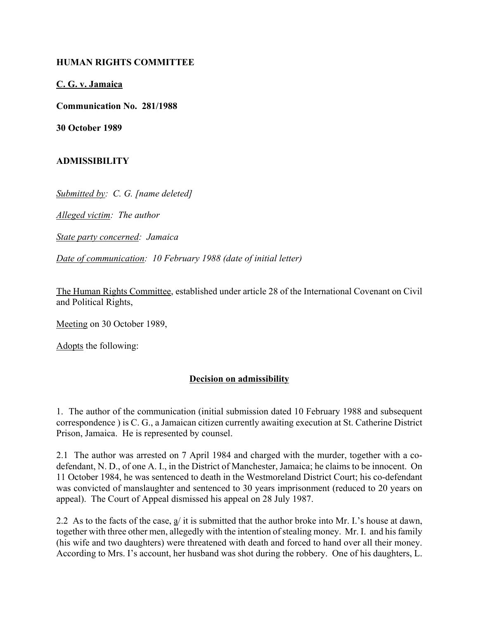## **HUMAN RIGHTS COMMITTEE**

**C. G. v. Jamaica**

**Communication No. 281/1988**

**30 October 1989**

## **ADMISSIBILITY**

*Submitted by: C. G. [name deleted]*

*Alleged victim: The author*

*State party concerned: Jamaica*

*Date of communication: 10 February 1988 (date of initial letter)*

The Human Rights Committee, established under article 28 of the International Covenant on Civil and Political Rights,

Meeting on 30 October 1989,

Adopts the following:

## **Decision on admissibility**

1. The author of the communication (initial submission dated 10 February 1988 and subsequent correspondence ) is C. G., a Jamaican citizen currently awaiting execution at St. Catherine District Prison, Jamaica. He is represented by counsel.

2.1 The author was arrested on 7 April 1984 and charged with the murder, together with a codefendant, N. D., of one A. I., in the District of Manchester, Jamaica; he claims to be innocent. On 11 October 1984, he was sentenced to death in the Westmoreland District Court; his co-defendant was convicted of manslaughter and sentenced to 30 years imprisonment (reduced to 20 years on appeal). The Court of Appeal dismissed his appeal on 28 July 1987.

2.2 As to the facts of the case, a/ it is submitted that the author broke into Mr. I.'s house at dawn, together with three other men, allegedly with the intention of stealing money. Mr. I. and his family (his wife and two daughters) were threatened with death and forced to hand over all their money. According to Mrs. I's account, her husband was shot during the robbery. One of his daughters, L.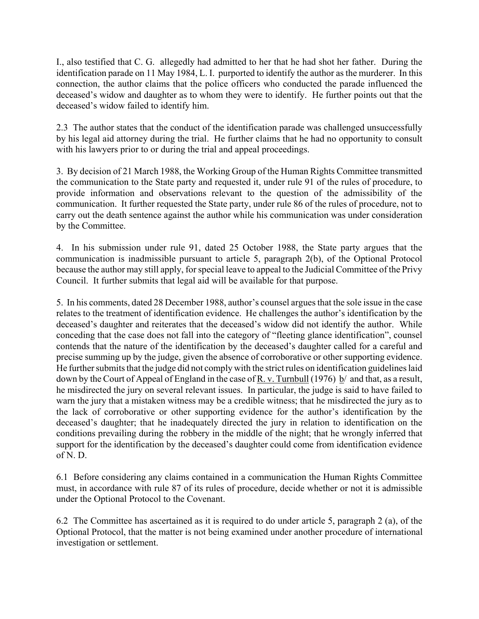I., also testified that C. G. allegedly had admitted to her that he had shot her father. During the identification parade on 11 May 1984, L. I. purported to identify the author as the murderer. In this connection, the author claims that the police officers who conducted the parade influenced the deceased's widow and daughter as to whom they were to identify. He further points out that the deceased's widow failed to identify him.

2.3 The author states that the conduct of the identification parade was challenged unsuccessfully by his legal aid attorney during the trial. He further claims that he had no opportunity to consult with his lawyers prior to or during the trial and appeal proceedings.

3. By decision of 21 March 1988, the Working Group of the Human Rights Committee transmitted the communication to the State party and requested it, under rule 91 of the rules of procedure, to provide information and observations relevant to the question of the admissibility of the communication. It further requested the State party, under rule 86 of the rules of procedure, not to carry out the death sentence against the author while his communication was under consideration by the Committee.

4. In his submission under rule 91, dated 25 October 1988, the State party argues that the communication is inadmissible pursuant to article 5, paragraph 2(b), of the Optional Protocol because the author may still apply, for special leave to appeal to the Judicial Committee of the Privy Council. It further submits that legal aid will be available for that purpose.

5. In his comments, dated 28 December 1988, author's counsel argues that the sole issue in the case relates to the treatment of identification evidence. He challenges the author's identification by the deceased's daughter and reiterates that the deceased's widow did not identify the author. While conceding that the case does not fall into the category of "fleeting glance identification", counsel contends that the nature of the identification by the deceased's daughter called for a careful and precise summing up by the judge, given the absence of corroborative or other supporting evidence. He further submits that the judge did not comply with the strict rules on identification guidelines laid down by the Court of Appeal of England in the case of R. v. Turnbull (1976) b/ and that, as a result, he misdirected the jury on several relevant issues. In particular, the judge is said to have failed to warn the jury that a mistaken witness may be a credible witness; that he misdirected the jury as to the lack of corroborative or other supporting evidence for the author's identification by the deceased's daughter; that he inadequately directed the jury in relation to identification on the conditions prevailing during the robbery in the middle of the night; that he wrongly inferred that support for the identification by the deceased's daughter could come from identification evidence of N. D.

6.1 Before considering any claims contained in a communication the Human Rights Committee must, in accordance with rule 87 of its rules of procedure, decide whether or not it is admissible under the Optional Protocol to the Covenant.

6.2 The Committee has ascertained as it is required to do under article 5, paragraph 2 (a), of the Optional Protocol, that the matter is not being examined under another procedure of international investigation or settlement.